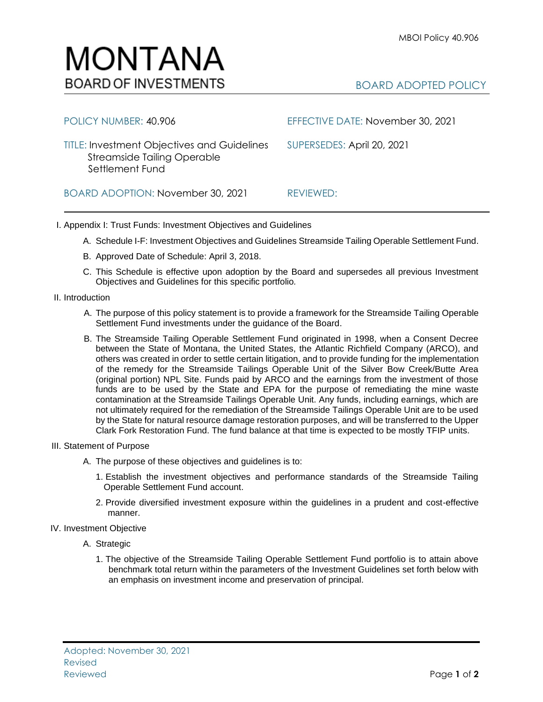## BOARD ADOPTED POLICY

| POLICY NUMBER: 40.906                                                                                       | EFFECTIVE DATE: November 30, 2021 |
|-------------------------------------------------------------------------------------------------------------|-----------------------------------|
| <b>TITLE: Investment Objectives and Guidelines</b><br><b>Streamside Tailing Operable</b><br>Settlement Fund | SUPERSEDES: April 20, 2021        |
| BOARD ADOPTION: November 30, 2021                                                                           | REVIEWED:                         |

I. Appendix I: Trust Funds: Investment Objectives and Guidelines

- A. Schedule I-F: Investment Objectives and Guidelines Streamside Tailing Operable Settlement Fund.
- B. Approved Date of Schedule: April 3, 2018.

MONTANA

**BOARD OF INVESTMENTS** 

- C. This Schedule is effective upon adoption by the Board and supersedes all previous Investment Objectives and Guidelines for this specific portfolio*.*
- II. Introduction
	- A. The purpose of this policy statement is to provide a framework for the Streamside Tailing Operable Settlement Fund investments under the guidance of the Board.
	- B. The Streamside Tailing Operable Settlement Fund originated in 1998, when a Consent Decree between the State of Montana, the United States, the Atlantic Richfield Company (ARCO), and others was created in order to settle certain litigation, and to provide funding for the implementation of the remedy for the Streamside Tailings Operable Unit of the Silver Bow Creek/Butte Area (original portion) NPL Site. Funds paid by ARCO and the earnings from the investment of those funds are to be used by the State and EPA for the purpose of remediating the mine waste contamination at the Streamside Tailings Operable Unit. Any funds, including earnings, which are not ultimately required for the remediation of the Streamside Tailings Operable Unit are to be used by the State for natural resource damage restoration purposes, and will be transferred to the Upper Clark Fork Restoration Fund. The fund balance at that time is expected to be mostly TFIP units.

## III. Statement of Purpose

- A. The purpose of these objectives and guidelines is to:
	- 1. Establish the investment objectives and performance standards of the Streamside Tailing Operable Settlement Fund account.
	- 2. Provide diversified investment exposure within the guidelines in a prudent and cost-effective manner.

## IV. Investment Objective

- A. Strategic
	- 1. The objective of the Streamside Tailing Operable Settlement Fund portfolio is to attain above benchmark total return within the parameters of the Investment Guidelines set forth below with an emphasis on investment income and preservation of principal.